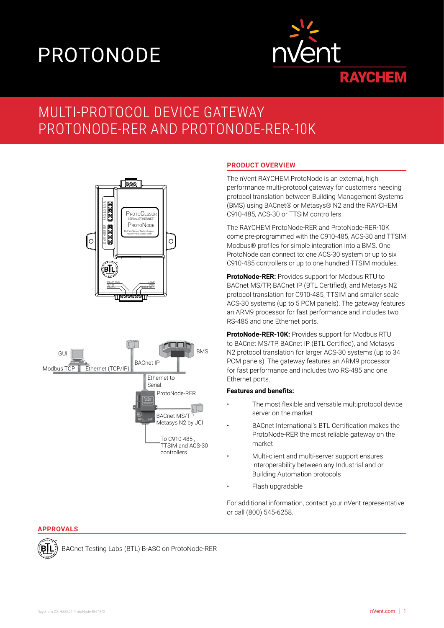# PROTONODE



# MULTI-PROTOCOL DEVICE GATEWAY PROTONODE-RER AND PROTONODE-RER-10K





# **PRODUCT OVERVIEW**

The nVent RAYCHEM ProtoNode is an external, high performance multi-protocol gateway for customers needing protocol translation between Building Management Systems (BMS) using BACnet® or Metasys® N2 and the RAYCHEM C910-485, ACS-30 or TTSIM controllers.

The RAYCHEM ProtoNode-RER and ProtoNode-RER-10K come pre-programmed with the C910-485, ACS-30 and TTSIM Modbus® profiles for simple integration into a BMS. One ProtoNode can connect to: one ACS-30 system or up to six C910-485 controllers or up to one hundred TTSIM modules.

**ProtoNode-RER:** Provides support for Modbus RTU to BACnet MS/TP, BACnet IP (BTL Certified), and Metasys N2 protocol translation for C910-485, TTSIM and smaller scale ACS-30 systems (up to 5 PCM panels). The gateway features an ARM9 processor for fast performance and includes two RS-485 and one Ethernet ports.

**ProtoNode-RER-10K:** Provides support for Modbus RTU to BACnet MS/TP, BACnet IP (BTL Certified), and Metasys N2 protocol translation for larger ACS-30 systems (up to 34 PCM panels). The gateway features an ARM9 processor for fast performance and includes two RS-485 and one Ethernet ports.

#### **Features and benefits:**

- The most flexible and versatile multiprotocol device server on the market
- BACnet International's BTL Certification makes the ProtoNode-RER the most reliable gateway on the market
- Multi-client and multi-server support ensures interoperability between any Industrial and or Building Automation protocols
- Flash upgradable

For additional information, contact your nVent representative or call (800) 545-6258.

#### **APPROVALS**

Έl

BACnet Testing Labs (BTL) B-ASC on ProtoNode-RER